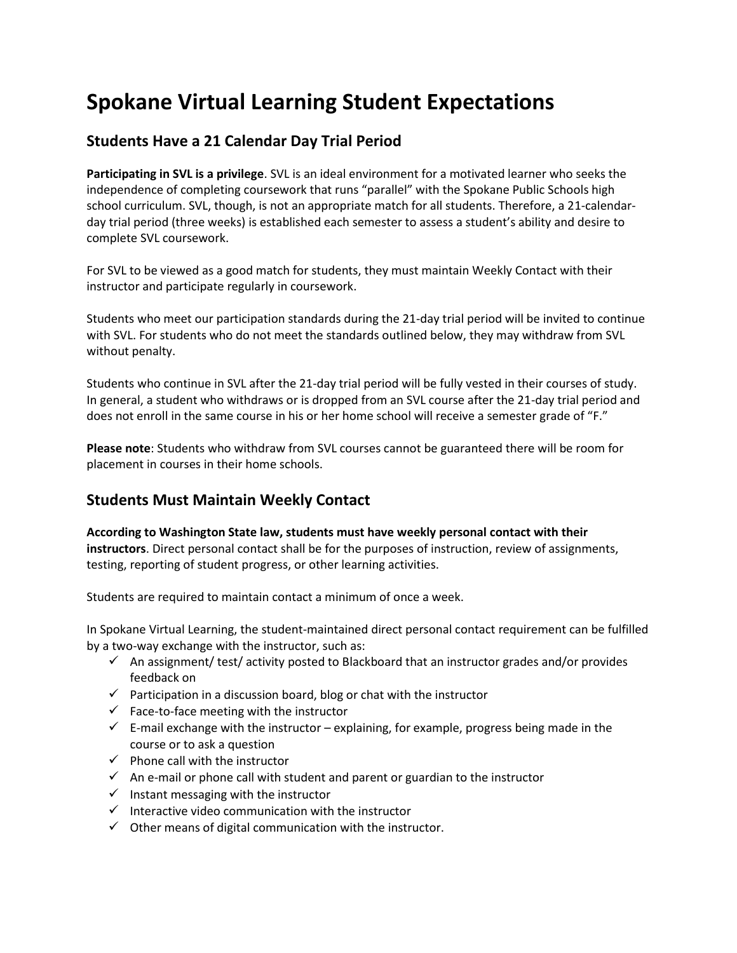# **Spokane Virtual Learning Student Expectations**

## **Students Have a 21 Calendar Day Trial Period**

**Participating in SVL is a privilege**. SVL is an ideal environment for a motivated learner who seeks the independence of completing coursework that runs "parallel" with the Spokane Public Schools high school curriculum. SVL, though, is not an appropriate match for all students. Therefore, a 21-calendarday trial period (three weeks) is established each semester to assess a student's ability and desire to complete SVL coursework.

For SVL to be viewed as a good match for students, they must maintain Weekly Contact with their instructor and participate regularly in coursework.

Students who meet our participation standards during the 21-day trial period will be invited to continue with SVL. For students who do not meet the standards outlined below, they may withdraw from SVL without penalty.

Students who continue in SVL after the 21-day trial period will be fully vested in their courses of study. In general, a student who withdraws or is dropped from an SVL course after the 21-day trial period and does not enroll in the same course in his or her home school will receive a semester grade of "F."

**Please note**: Students who withdraw from SVL courses cannot be guaranteed there will be room for placement in courses in their home schools.

## **Students Must Maintain Weekly Contact**

**According to Washington State law, students must have weekly personal contact with their instructors**. Direct personal contact shall be for the purposes of instruction, review of assignments, testing, reporting of student progress, or other learning activities.

Students are required to maintain contact a minimum of once a week.

In Spokane Virtual Learning, the student-maintained direct personal contact requirement can be fulfilled by a two-way exchange with the instructor, such as:

- $\checkmark$  An assignment/ test/ activity posted to Blackboard that an instructor grades and/or provides feedback on
- $\checkmark$  Participation in a discussion board, blog or chat with the instructor
- $\checkmark$  Face-to-face meeting with the instructor
- $\checkmark$  E-mail exchange with the instructor explaining, for example, progress being made in the course or to ask a question
- $\checkmark$  Phone call with the instructor
- $\checkmark$  An e-mail or phone call with student and parent or guardian to the instructor
- $\checkmark$  Instant messaging with the instructor
- $\checkmark$  Interactive video communication with the instructor
- $\checkmark$  Other means of digital communication with the instructor.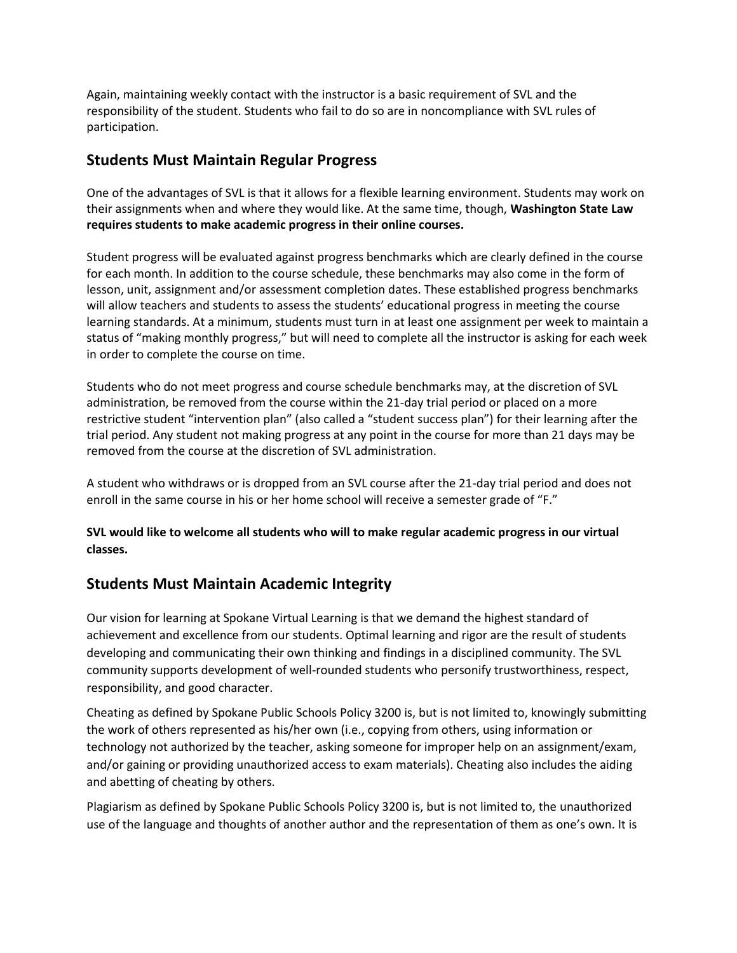Again, maintaining weekly contact with the instructor is a basic requirement of SVL and the responsibility of the student. Students who fail to do so are in noncompliance with SVL rules of participation.

#### **Students Must Maintain Regular Progress**

One of the advantages of SVL is that it allows for a flexible learning environment. Students may work on their assignments when and where they would like. At the same time, though, **Washington State Law requires students to make academic progress in their online courses.** 

Student progress will be evaluated against progress benchmarks which are clearly defined in the course for each month. In addition to the course schedule, these benchmarks may also come in the form of lesson, unit, assignment and/or assessment completion dates. These established progress benchmarks will allow teachers and students to assess the students' educational progress in meeting the course learning standards. At a minimum, students must turn in at least one assignment per week to maintain a status of "making monthly progress," but will need to complete all the instructor is asking for each week in order to complete the course on time.

Students who do not meet progress and course schedule benchmarks may, at the discretion of SVL administration, be removed from the course within the 21-day trial period or placed on a more restrictive student "intervention plan" (also called a "student success plan") for their learning after the trial period. Any student not making progress at any point in the course for more than 21 days may be removed from the course at the discretion of SVL administration.

A student who withdraws or is dropped from an SVL course after the 21-day trial period and does not enroll in the same course in his or her home school will receive a semester grade of "F."

**SVL would like to welcome all students who will to make regular academic progress in our virtual classes.**

#### **Students Must Maintain Academic Integrity**

Our vision for learning at Spokane Virtual Learning is that we demand the highest standard of achievement and excellence from our students. Optimal learning and rigor are the result of students developing and communicating their own thinking and findings in a disciplined community. The SVL community supports development of well-rounded students who personify trustworthiness, respect, responsibility, and good character.

Cheating as defined by Spokane Public Schools Policy 3200 is, but is not limited to, knowingly submitting the work of others represented as his/her own (i.e., copying from others, using information or technology not authorized by the teacher, asking someone for improper help on an assignment/exam, and/or gaining or providing unauthorized access to exam materials). Cheating also includes the aiding and abetting of cheating by others.

Plagiarism as defined by Spokane Public Schools Policy 3200 is, but is not limited to, the unauthorized use of the language and thoughts of another author and the representation of them as one's own. It is